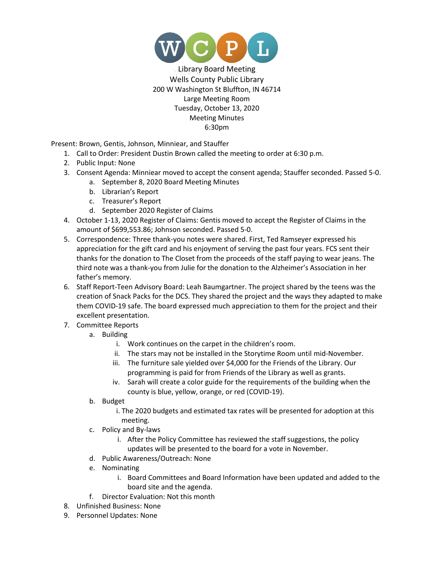

Library Board Meeting Wells County Public Library 200 W Washington St Bluffton, IN 46714 Large Meeting Room Tuesday, October 13, 2020 Meeting Minutes 6:30pm

Present: Brown, Gentis, Johnson, Minniear, and Stauffer

- 1. Call to Order: President Dustin Brown called the meeting to order at 6:30 p.m.
- 2. Public Input: None
- 3. Consent Agenda: Minniear moved to accept the consent agenda; Stauffer seconded. Passed 5-0.
	- a. September 8, 2020 Board Meeting Minutes
	- b. Librarian's Report
	- c. Treasurer's Report
	- d. September 2020 Register of Claims
- 4. October 1-13, 2020 Register of Claims: Gentis moved to accept the Register of Claims in the amount of \$699,553.86; Johnson seconded. Passed 5-0.
- 5. Correspondence: Three thank-you notes were shared. First, Ted Ramseyer expressed his appreciation for the gift card and his enjoyment of serving the past four years. FCS sent their thanks for the donation to The Closet from the proceeds of the staff paying to wear jeans. The third note was a thank-you from Julie for the donation to the Alzheimer's Association in her father's memory.
- 6. Staff Report-Teen Advisory Board: Leah Baumgartner. The project shared by the teens was the creation of Snack Packs for the DCS. They shared the project and the ways they adapted to make them COVID-19 safe. The board expressed much appreciation to them for the project and their excellent presentation.
- 7. Committee Reports
	- a. Building
		- i. Work continues on the carpet in the children's room.
		- ii. The stars may not be installed in the Storytime Room until mid-November.
		- iii. The furniture sale yielded over \$4,000 for the Friends of the Library. Our programming is paid for from Friends of the Library as well as grants.
		- iv. Sarah will create a color guide for the requirements of the building when the county is blue, yellow, orange, or red (COVID-19).
	- b. Budget
		- i. The 2020 budgets and estimated tax rates will be presented for adoption at this meeting.
	- c. Policy and By-laws
		- i. After the Policy Committee has reviewed the staff suggestions, the policy updates will be presented to the board for a vote in November.
	- d. Public Awareness/Outreach: None
	- e. Nominating
		- i. Board Committees and Board Information have been updated and added to the board site and the agenda.
	- f. Director Evaluation: Not this month
- 8. Unfinished Business: None
- 9. Personnel Updates: None